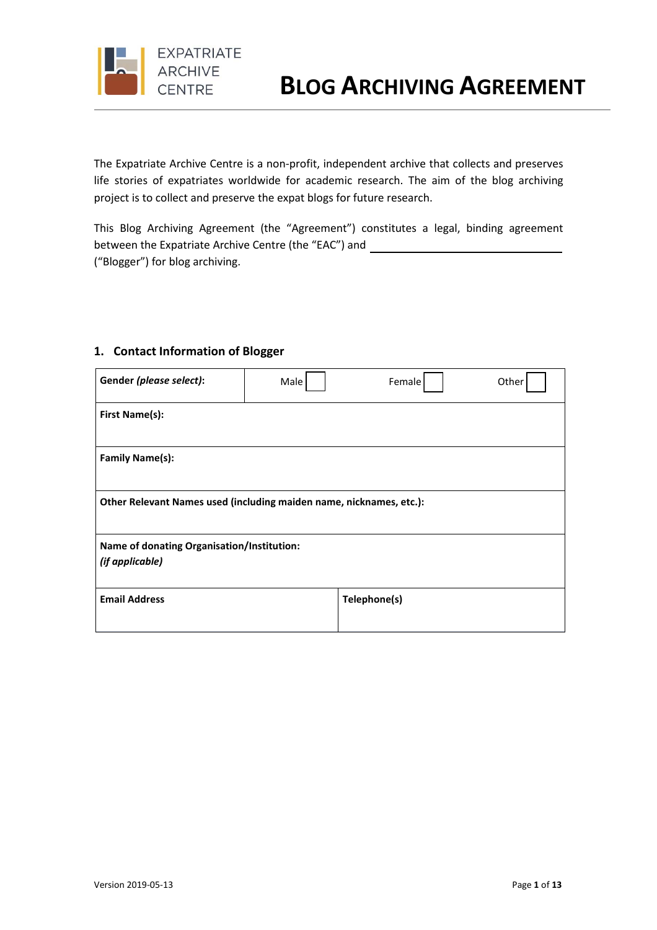

The Expatriate Archive Centre is a non-profit, independent archive that collects and preserves life stories of expatriates worldwide for academic research. The aim of the blog archiving project is to collect and preserve the expat blogs for future research.

This Blog Archiving Agreement (the "Agreement") constitutes a legal, binding agreement between the Expatriate Archive Centre (the "EAC") and ("Blogger") for blog archiving.

#### **1. Contact Information of Blogger**

| Gender (please select):                                             | Male | Female       | Other |
|---------------------------------------------------------------------|------|--------------|-------|
| <b>First Name(s):</b>                                               |      |              |       |
| <b>Family Name(s):</b>                                              |      |              |       |
| Other Relevant Names used (including maiden name, nicknames, etc.): |      |              |       |
| Name of donating Organisation/Institution:                          |      |              |       |
| (if applicable)                                                     |      |              |       |
| <b>Email Address</b>                                                |      | Telephone(s) |       |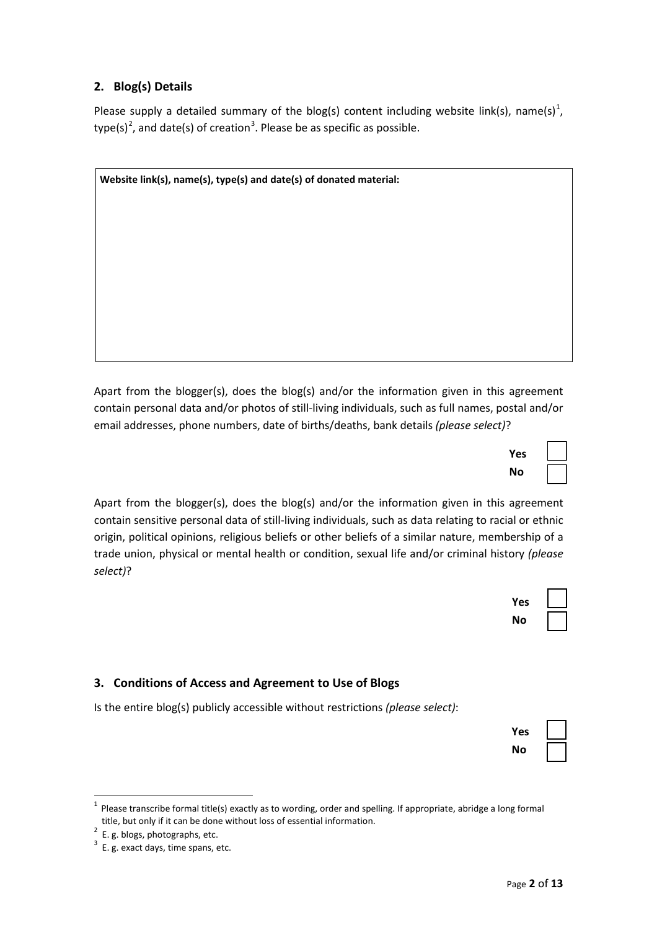## **2. Blog(s) Details**

Please supply a detailed summary of the blog(s) content including website link(s), name(s)<sup>1</sup>, type(s)<sup>2</sup>, and date(s) of creation<sup>3</sup>. Please be as specific as possible.

| Website link(s), name(s), type(s) and date(s) of donated material: |  |  |
|--------------------------------------------------------------------|--|--|
|                                                                    |  |  |
|                                                                    |  |  |
|                                                                    |  |  |
|                                                                    |  |  |
|                                                                    |  |  |
|                                                                    |  |  |
|                                                                    |  |  |
|                                                                    |  |  |
|                                                                    |  |  |
|                                                                    |  |  |

Apart from the blogger(s), does the blog(s) and/or the information given in this agreement contain personal data and/or photos of still-living individuals, such as full names, postal and/or email addresses, phone numbers, date of births/deaths, bank details *(please select)*?

Apart from the blogger(s), does the blog(s) and/or the information given in this agreement contain sensitive personal data of still-living individuals, such as data relating to racial or ethnic origin, political opinions, religious beliefs or other beliefs of a similar nature, membership of a trade union, physical or mental health or condition, sexual life and/or criminal history *(please select)*?



**Yes** ☐ **No** ☐

## **3. Conditions of Access and Agreement to Use of Blogs**

Is the entire blog(s) publicly accessible without restrictions *(please select)*:

| Yes |  |
|-----|--|
| Nο  |  |

<sup>1</sup> Please transcribe formal title(s) exactly as to wording, order and spelling. If appropriate, abridge <sup>a</sup> long formal title, but only if it can be done without loss of essential information. <sup>2</sup>

 $2$  E. g. blogs, photographs, etc.

 $3$  E. g. exact days, time spans, etc.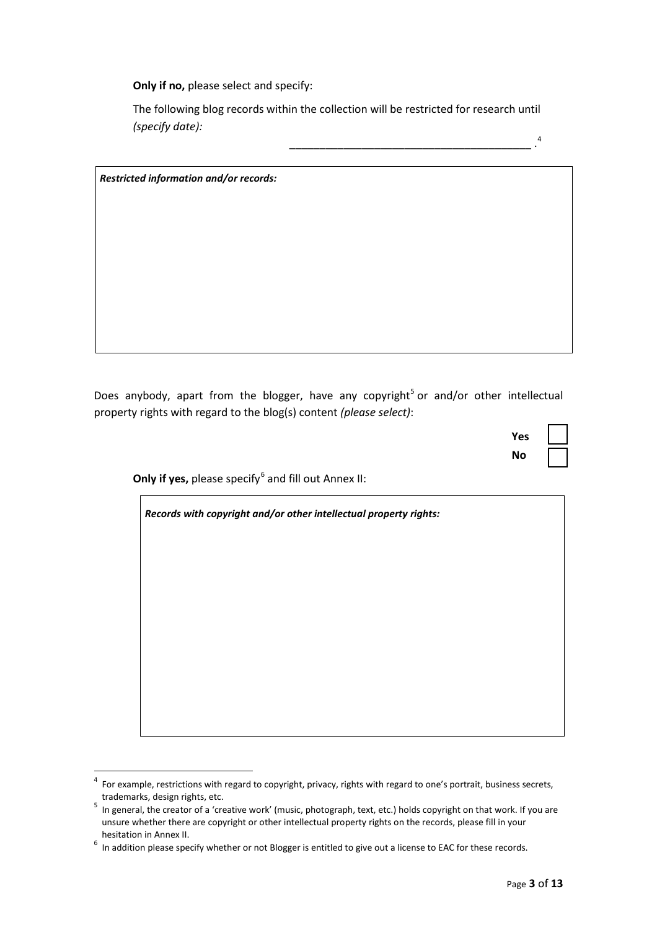**Only if no,** please select and specify:

The following blog records within the collection will be restricted for research until *(specify date):*

\_\_\_\_\_\_\_\_\_\_\_\_\_\_\_\_\_\_\_\_\_\_\_\_\_\_\_\_\_\_\_\_\_\_\_\_\_\_\_\_ . *Restricted information and/or records:*

Does anybody, apart from the blogger, have any copyright<sup>5</sup> or and/or other intellectual property rights with regard to the blog(s) content *(please select)*:

| Yes |  |
|-----|--|
| No  |  |

4

**Only if yes,** please specify<sup>6</sup> and fill out Annex II:

*Records with copyright and/or other intellectual property rights:*

 $\overline{4}$  $4$  For example, restrictions with regard to copyright, privacy, rights with regard to one's portrait, business secrets, trademarks, design rights, etc.

In general, the creator of a 'creative work' (music, photograph, text, etc.) holds copyright on that work. If you are unsure whether there are copyright or other intellectual property rights on the records, please fill in your

hesitation in Annex II.<br><sup>6</sup> In addition please specify whether or not Blogger is entitled to give out a license to EAC for these records.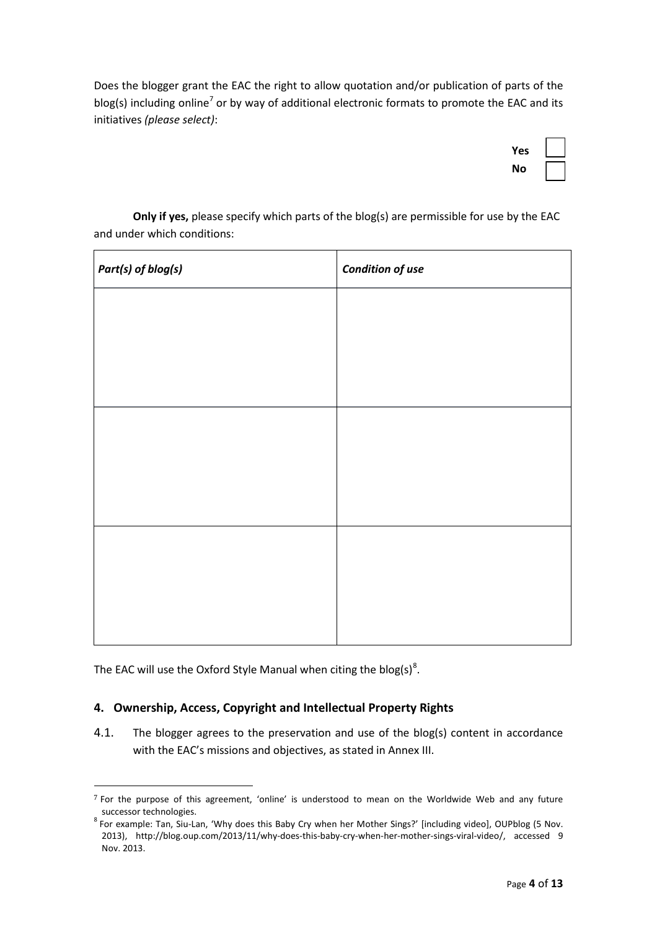Does the blogger grant the EAC the right to allow quotation and/or publication of parts of the blog(s) including online<sup>7</sup> or by way of additional electronic formats to promote the EAC and its initiatives *(please select)*:

| Yes |  |
|-----|--|
| No  |  |

**Only if yes,** please specify which parts of the blog(s) are permissible for use by the EAC and under which conditions:

| Part(s) of blog(s) | <b>Condition of use</b> |
|--------------------|-------------------------|
|                    |                         |
|                    |                         |
|                    |                         |
|                    |                         |
|                    |                         |
|                    |                         |
|                    |                         |
|                    |                         |
|                    |                         |
|                    |                         |

The EAC will use the Oxford Style Manual when citing the blog(s)<sup>8</sup>.

 $\overline{a}$ 

## **4. Ownership, Access, Copyright and Intellectual Property Rights**

4.1. The blogger agrees to the preservation and use of the blog(s) content in accordance with the EAC's missions and objectives, as stated in Annex III.

 $7$  For the purpose of this agreement, 'online' is understood to mean on the Worldwide Web and any future

successor technologies.<br><sup>8</sup> For example: Tan, Siu-Lan, 'Why does this Baby Cry when her Mother Sings?' [including video], OUPblog (5 Nov. 2013), http://blog.oup.com/2013/11/why-does-this-baby-cry-when-her-mother-sings-viral-video/, accessed 9 Nov. 2013.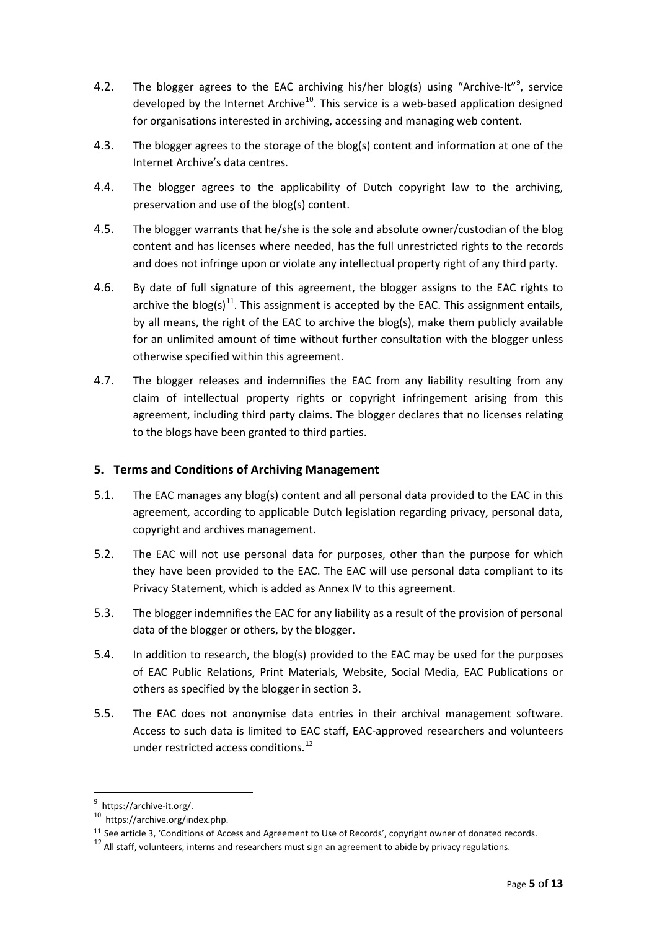- 4.2. The blogger agrees to the EAC archiving his/her blog(s) using "Archive-It"<sup>9</sup>, service developed by the Internet Archive<sup>10</sup>. This service is a web-based application designed for organisations interested in archiving, accessing and managing web content.
- 4.3. The blogger agrees to the storage of the blog(s) content and information at one of the Internet Archive's data centres.
- 4.4. The blogger agrees to the applicability of Dutch copyright law to the archiving, preservation and use of the blog(s) content.
- 4.5. The blogger warrants that he/she is the sole and absolute owner/custodian of the blog content and has licenses where needed, has the full unrestricted rights to the records and does not infringe upon or violate any intellectual property right of any third party.
- 4.6. By date of full signature of this agreement, the blogger assigns to the EAC rights to archive the blog(s)<sup>11</sup>. This assignment is accepted by the EAC. This assignment entails, by all means, the right of the EAC to archive the blog(s), make them publicly available for an unlimited amount of time without further consultation with the blogger unless otherwise specified within this agreement.
- 4.7. The blogger releases and indemnifies the EAC from any liability resulting from any claim of intellectual property rights or copyright infringement arising from this agreement, including third party claims. The blogger declares that no licenses relating to the blogs have been granted to third parties.

## **5. Terms and Conditions of Archiving Management**

- 5.1. The EAC manages any blog(s) content and all personal data provided to the EAC in this agreement, according to applicable Dutch legislation regarding privacy, personal data, copyright and archives management.
- 5.2. The EAC will not use personal data for purposes, other than the purpose for which they have been provided to the EAC. The EAC will use personal data compliant to its Privacy Statement, which is added as Annex IV to this agreement.
- 5.3. The blogger indemnifies the EAC for any liability as a result of the provision of personal data of the blogger or others, by the blogger.
- 5.4. In addition to research, the blog(s) provided to the EAC may be used for the purposes of EAC Public Relations, Print Materials, Website, Social Media, EAC Publications or others as specified by the blogger in section 3.
- 5.5. The EAC does not anonymise data entries in their archival management software. Access to such data is limited to EAC staff, EAC-approved researchers and volunteers under restricted access conditions.<sup>12</sup>

9

 $\frac{9}{10}$  https://archive-it.org/.<br> $\frac{10}{10}$  https://archive.org/index.php.

<sup>&</sup>lt;sup>11</sup> See article 3, 'Conditions of Access and Agreement to Use of Records', copyright owner of donated records.

 $12$  All staff, volunteers, interns and researchers must sign an agreement to abide by privacy regulations.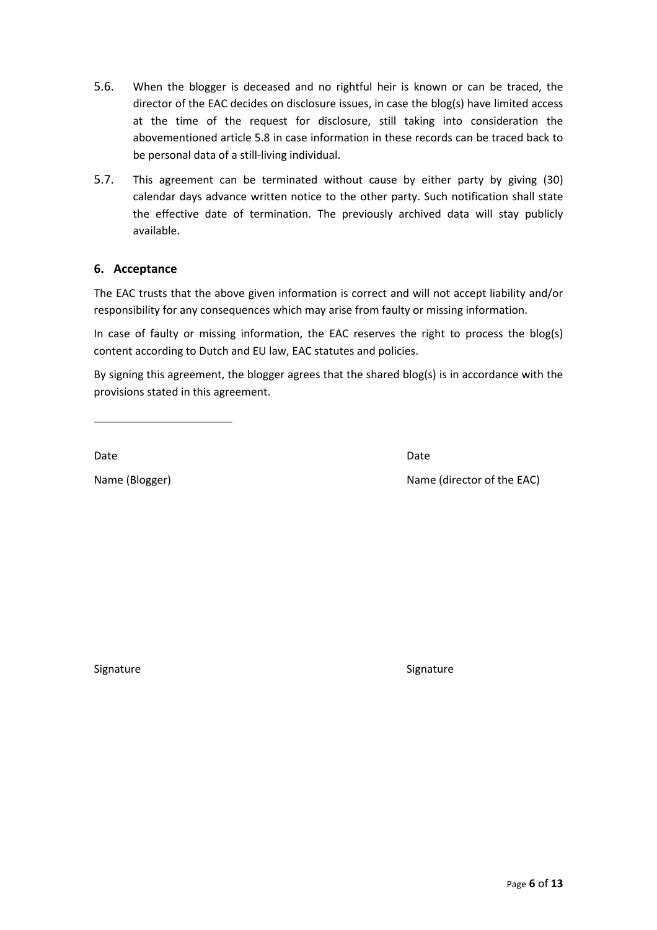- 5.6. When the blogger is deceased and no rightful heir is known or can be traced, the director of the EAC decides on disclosure issues, in case the blog(s) have limited access at the time of the request for disclosure, still taking into consideration the abovementioned article 5.8 in case information in these records can be traced back to be personal data of a still-living individual.
- 5.7. This agreement can be terminated without cause by either party by giving (30) calendar days advance written notice to the other party. Such notification shall state the effective date of termination. The previously archived data will stay publicly available.

## **6. Acceptance**

The EAC trusts that the above given information is correct and will not accept liability and/or responsibility for any consequences which may arise from faulty or missing information.

In case of faulty or missing information, the EAC reserves the right to process the blog(s) content according to Dutch and EU law, EAC statutes and policies.

By signing this agreement, the blogger agrees that the shared blog(s) is in accordance with the provisions stated in this agreement.

Date **Date** Date **Date** Date **Date** Date **Date** 

Name (Blogger) Name (director of the EAC)

Signature Signature Signature Signature Signature Signature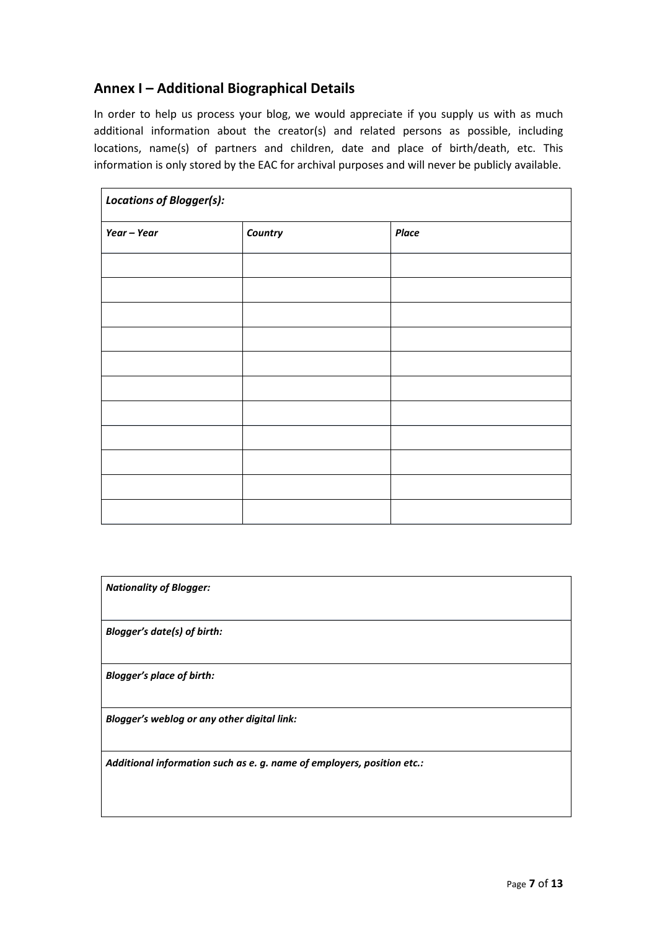## **Annex I – Additional Biographical Details**

In order to help us process your blog, we would appreciate if you supply us with as much additional information about the creator(s) and related persons as possible, including locations, name(s) of partners and children, date and place of birth/death, etc. This information is only stored by the EAC for archival purposes and will never be publicly available.

| <b>Locations of Blogger(s):</b> |         |              |  |
|---------------------------------|---------|--------------|--|
| Year - Year                     | Country | <b>Place</b> |  |
|                                 |         |              |  |
|                                 |         |              |  |
|                                 |         |              |  |
|                                 |         |              |  |
|                                 |         |              |  |
|                                 |         |              |  |
|                                 |         |              |  |
|                                 |         |              |  |
|                                 |         |              |  |
|                                 |         |              |  |
|                                 |         |              |  |

| <b>Nationality of Blogger:</b>                                         |
|------------------------------------------------------------------------|
| <b>Blogger's date(s) of birth:</b>                                     |
| <b>Blogger's place of birth:</b>                                       |
| Blogger's weblog or any other digital link:                            |
| Additional information such as e. g. name of employers, position etc.: |
|                                                                        |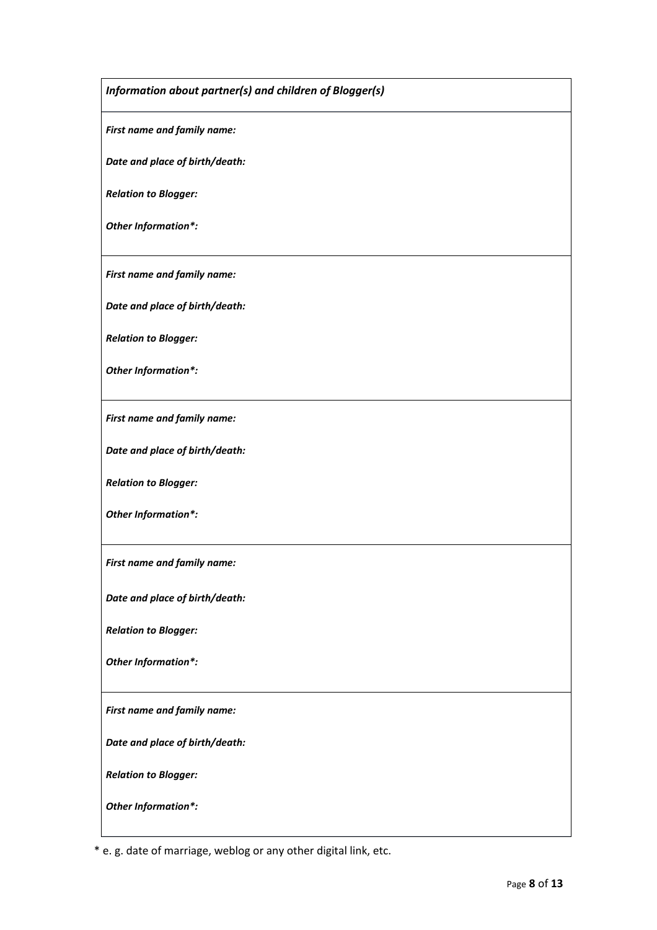*Information about partner(s) and children of Blogger(s) First name and family name: Date and place of birth/death: Relation to Blogger: Other Information\*: First name and family name: Date and place of birth/death: Relation to Blogger: Other Information\*: First name and family name: Date and place of birth/death: Relation to Blogger: Other Information\*: First name and family name: Date and place of birth/death: Relation to Blogger: Other Information\*: First name and family name: Date and place of birth/death: Relation to Blogger: Other Information\*:*

\* e. g. date of marriage, weblog or any other digital link, etc.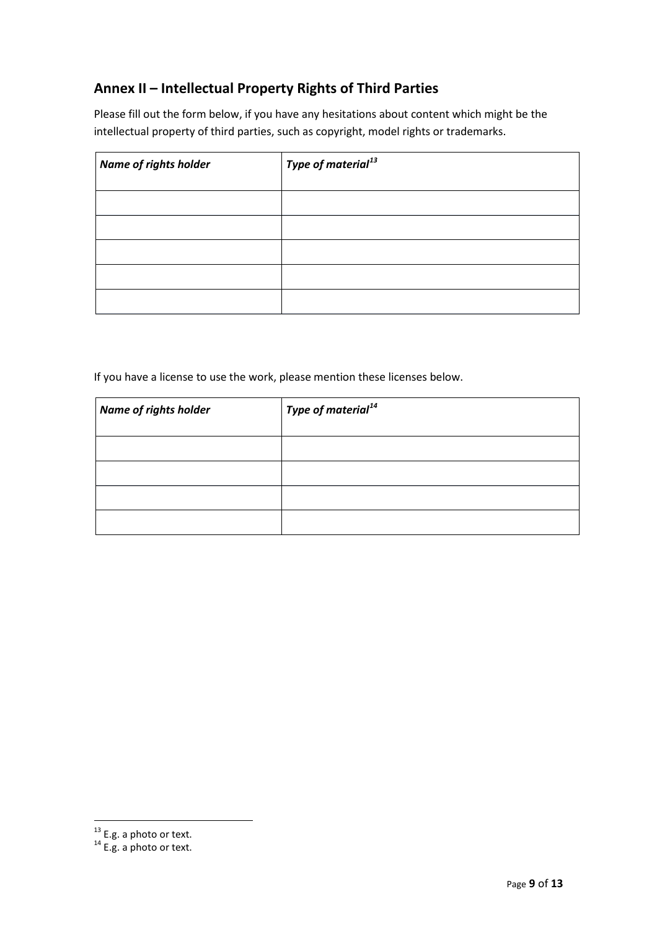# **Annex II – Intellectual Property Rights of Third Parties**

Please fill out the form below, if you have any hesitations about content which might be the intellectual property of third parties, such as copyright, model rights or trademarks.

| <b>Name of rights holder</b> | Type of material $^{\rm 13}$ |
|------------------------------|------------------------------|
|                              |                              |
|                              |                              |
|                              |                              |
|                              |                              |
|                              |                              |

If you have a license to use the work, please mention these licenses below.

| Name of rights holder | <b>Type of material</b> <sup>14</sup> |
|-----------------------|---------------------------------------|
|                       |                                       |
|                       |                                       |
|                       |                                       |
|                       |                                       |

 $^{13}$  E.g. a photo or text.<br> $^{14}$  E.g. a photo or text.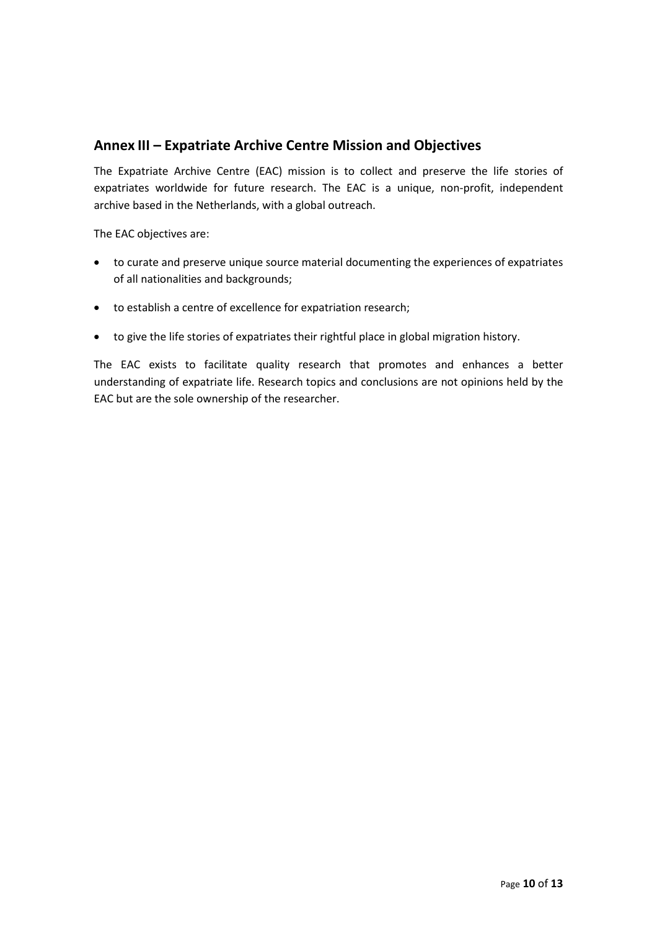## **Annex III – Expatriate Archive Centre Mission and Objectives**

The Expatriate Archive Centre (EAC) mission is to collect and preserve the life stories of expatriates worldwide for future research. The EAC is a unique, non-profit, independent archive based in the Netherlands, with a global outreach.

The EAC objectives are:

- to curate and preserve unique source material documenting the experiences of expatriates of all nationalities and backgrounds;
- to establish a centre of excellence for expatriation research;
- to give the life stories of expatriates their rightful place in global migration history.

The EAC exists to facilitate quality research that promotes and enhances a better understanding of expatriate life. Research topics and conclusions are not opinions held by the EAC but are the sole ownership of the researcher.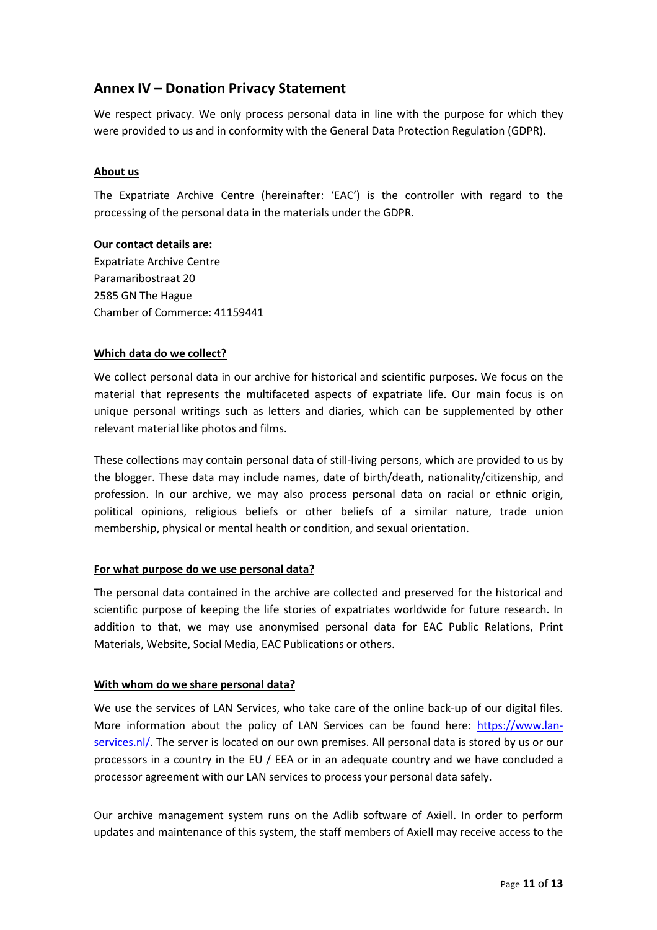## **Annex IV – Donation Privacy Statement**

We respect privacy. We only process personal data in line with the purpose for which they were provided to us and in conformity with the General Data Protection Regulation (GDPR).

#### **About us**

The Expatriate Archive Centre (hereinafter: 'EAC') is the controller with regard to the processing of the personal data in the materials under the GDPR.

#### **Our contact details are:**

Expatriate Archive Centre Paramaribostraat 20 2585 GN The Hague Chamber of Commerce: 41159441

#### **Which data do we collect?**

We collect personal data in our archive for historical and scientific purposes. We focus on the material that represents the multifaceted aspects of expatriate life. Our main focus is on unique personal writings such as letters and diaries, which can be supplemented by other relevant material like photos and films.

These collections may contain personal data of still-living persons, which are provided to us by the blogger. These data may include names, date of birth/death, nationality/citizenship, and profession. In our archive, we may also process personal data on racial or ethnic origin, political opinions, religious beliefs or other beliefs of a similar nature, trade union membership, physical or mental health or condition, and sexual orientation.

## **For what purpose do we use personal data?**

The personal data contained in the archive are collected and preserved for the historical and scientific purpose of keeping the life stories of expatriates worldwide for future research. In addition to that, we may use anonymised personal data for EAC Public Relations, Print Materials, Website, Social Media, EAC Publications or others.

## **With whom do we share personal data?**

We use the services of LAN Services, who take care of the online back-up of our digital files. More information about the policy of LAN Services can be found here: https://www.lanservices.nl/. The server is located on our own premises. All personal data is stored by us or our processors in a country in the EU / EEA or in an adequate country and we have concluded a processor agreement with our LAN services to process your personal data safely.

Our archive management system runs on the Adlib software of Axiell. In order to perform updates and maintenance of this system, the staff members of Axiell may receive access to the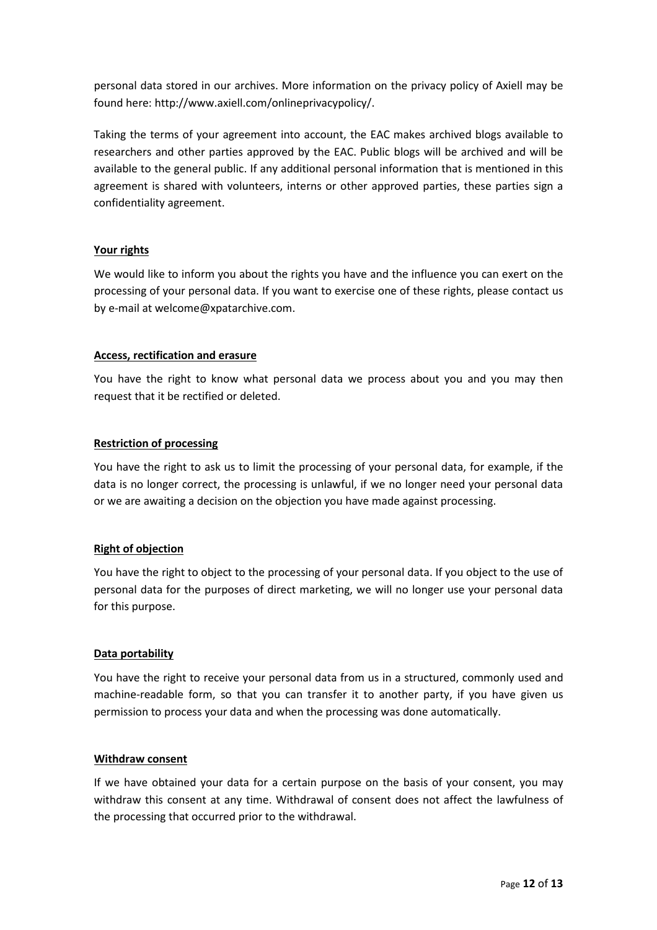personal data stored in our archives. More information on the privacy policy of Axiell may be found here: http://www.axiell.com/onlineprivacypolicy/.

Taking the terms of your agreement into account, the EAC makes archived blogs available to researchers and other parties approved by the EAC. Public blogs will be archived and will be available to the general public. If any additional personal information that is mentioned in this agreement is shared with volunteers, interns or other approved parties, these parties sign a confidentiality agreement.

## **Your rights**

We would like to inform you about the rights you have and the influence you can exert on the processing of your personal data. If you want to exercise one of these rights, please contact us by e-mail at welcome@xpatarchive.com.

## **Access, rectification and erasure**

You have the right to know what personal data we process about you and you may then request that it be rectified or deleted.

#### **Restriction of processing**

You have the right to ask us to limit the processing of your personal data, for example, if the data is no longer correct, the processing is unlawful, if we no longer need your personal data or we are awaiting a decision on the objection you have made against processing.

## **Right of objection**

You have the right to object to the processing of your personal data. If you object to the use of personal data for the purposes of direct marketing, we will no longer use your personal data for this purpose.

#### **Data portability**

You have the right to receive your personal data from us in a structured, commonly used and machine-readable form, so that you can transfer it to another party, if you have given us permission to process your data and when the processing was done automatically.

#### **Withdraw consent**

If we have obtained your data for a certain purpose on the basis of your consent, you may withdraw this consent at any time. Withdrawal of consent does not affect the lawfulness of the processing that occurred prior to the withdrawal.